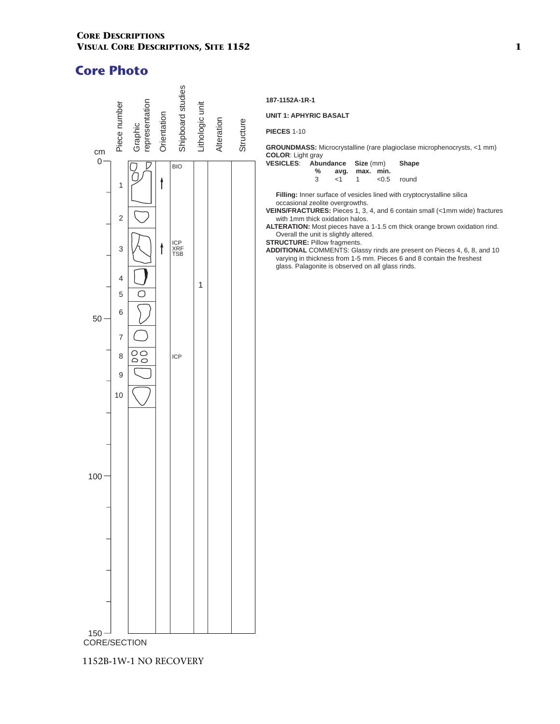

1152B-1W-1 NO RECOVERY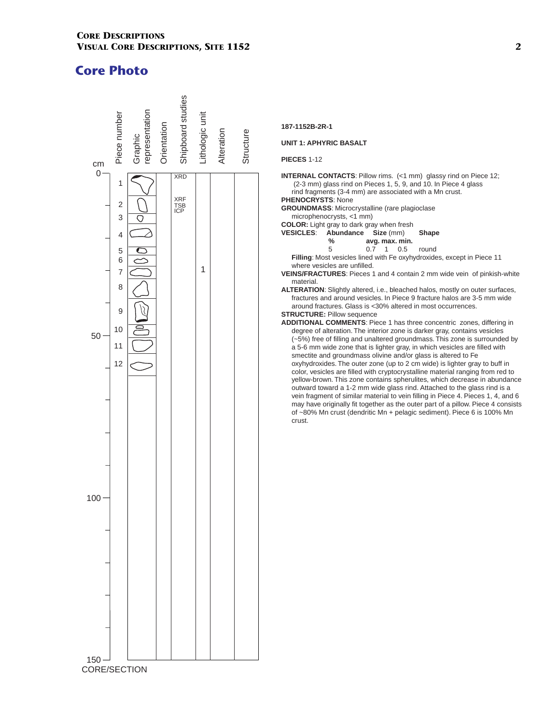

### **187-1152B-2R-1**

### **UNIT 1: APHYRIC BASALT**

**PIECES** 1-12

**INTERNAL CONTACTS:** Pillow rims. (<1 mm) glassy rind on Piece 12; (2-3 mm) glass rind on Pieces 1, 5, 9, and 10. In Piece 4 glass rind fragments (3-4 mm) are associated with a Mn crust. **PHENOCRYSTS**: None

**GROUNDMASS**: Microcrystalline (rare plagioclase

microphenocrysts, <1 mm)

- **COLOR:** Light gray to dark gray when fresh
- **VESICLES**: **Abundance Size** (mm) **Shape**
	- **%** avg. max. min.<br>5 0.7 1 0.5 round
	- $1 \t 0.5$

**Filling**: Most vesicles lined with Fe oxyhydroxides, except in Piece 11 where vesicles are unfilled.

**VEINS/FRACTURES**: Pieces 1 and 4 contain 2 mm wide vein of pinkish-white material.

**ALTERATION**: Slightly altered, i.e., bleached halos, mostly on outer surfaces, fractures and around vesicles. In Piece 9 fracture halos are 3-5 mm wide around fractures. Glass is <30% altered in most occurrences.

### **STRUCTURE: Pillow sequence**

**ADDITIONAL COMMENTS**: Piece 1 has three concentric zones, differing in degree of alteration. The interior zone is darker gray, contains vesicles (~5%) free of filling and unaltered groundmass. This zone is surrounded by a 5-6 mm wide zone that is lighter gray, in which vesicles are filled with smectite and groundmass olivine and/or glass is altered to Fe oxyhydroxides. The outer zone (up to 2 cm wide) is lighter gray to buff in color, vesicles are filled with cryptocrystalline material ranging from red to yellow-brown. This zone contains spherulites, which decrease in abundance outward toward a 1-2 mm wide glass rind. Attached to the glass rind is a vein fragment of similar material to vein filling in Piece 4. Pieces 1, 4, and 6 may have originally fit together as the outer part of a pillow. Piece 4 consists of ~80% Mn crust (dendritic Mn + pelagic sediment). Piece 6 is 100% Mn crust.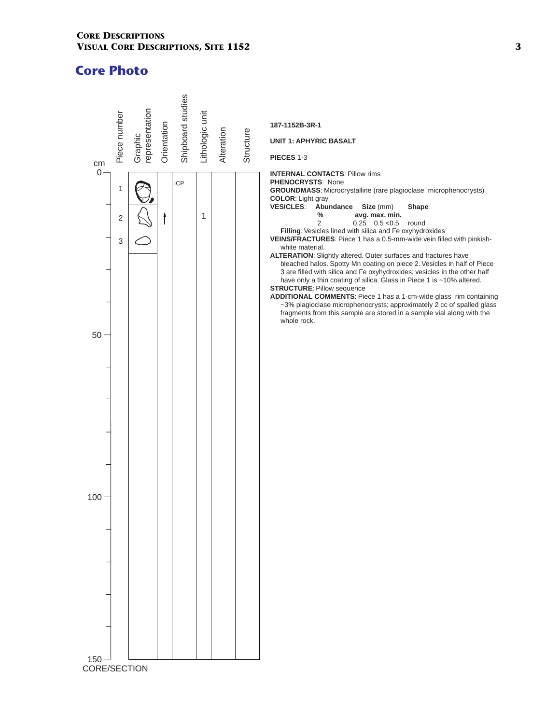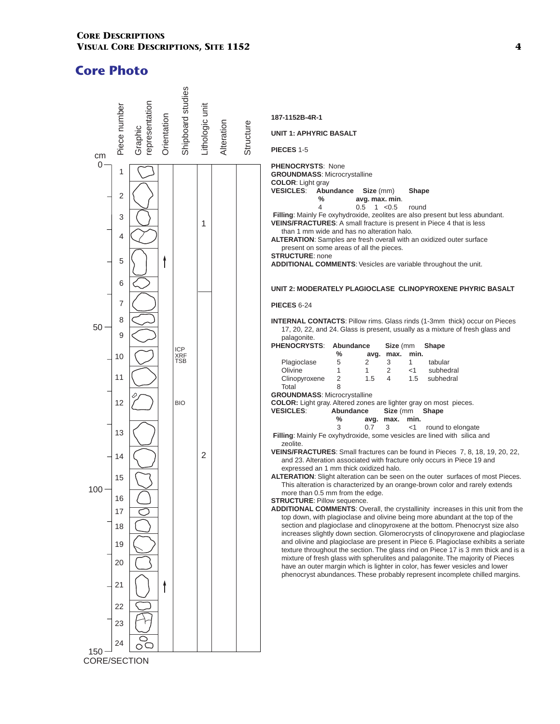

**CORE/SECTION**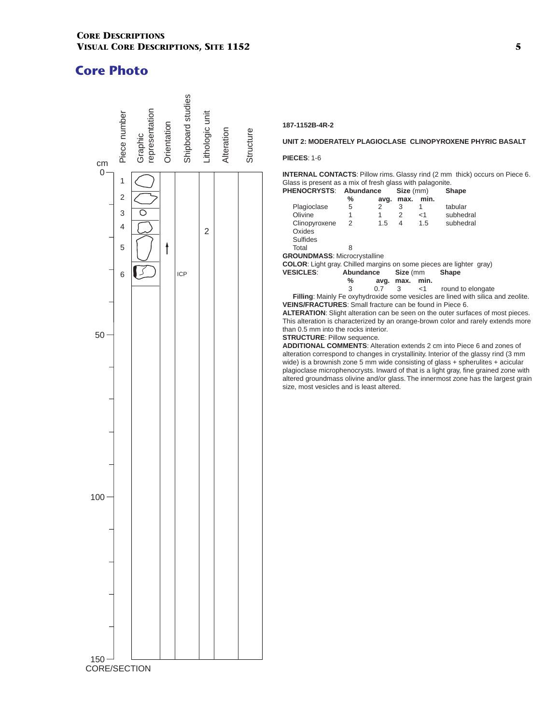

### **187-1152B-4R-2**

#### **UNIT 2: MODERATELY PLAGIOCLASE CLINOPYROXENE PHYRIC BASALT**

#### **PIECES**: 1-6

**INTERNAL CONTACTS**: Pillow rims. Glassy rind (2 mm thick) occurs on Piece 6. Glass is present as a mix of fresh glass with palagonite.<br>**PHENOCRYSTS:** Abundance Size (mm) Sh

| <b>PHENOCRYSTS:</b>                                                        | Abundance |      | Size (mm) |       | <b>Shape</b>                                                                           |
|----------------------------------------------------------------------------|-----------|------|-----------|-------|----------------------------------------------------------------------------------------|
|                                                                            | ℅         | avq. | max.      | min.  |                                                                                        |
| Plagioclase                                                                | 5         | 2    | 3         | 1     | tabular                                                                                |
| Olivine                                                                    | 1         | 1    | 2         | $<$ 1 | subhedral                                                                              |
| Clinopyroxene                                                              | 2         | 1.5  | 4         | 1.5   | subhedral                                                                              |
| Oxides                                                                     |           |      |           |       |                                                                                        |
| <b>Sulfides</b>                                                            |           |      |           |       |                                                                                        |
| Total                                                                      | 8         |      |           |       |                                                                                        |
| <b>GROUNDMASS: Microcrystalline</b>                                        |           |      |           |       |                                                                                        |
| <b>COLOR:</b> Light gray. Chilled margins on some pieces are lighter gray) |           |      |           |       |                                                                                        |
| <b>VESICLES:</b>                                                           | Abundance |      | Size (mm  |       | <b>Shape</b>                                                                           |
|                                                                            | ℅         | avg. | max. min. |       |                                                                                        |
|                                                                            | 3         | 0.7  | 3         | $<$ 1 | round to elongate                                                                      |
|                                                                            |           |      |           |       | Filling: Mainly Fe oxyhydroxide some vesicles are lined with silica and zeolite.       |
| <b>VEINS/FRACTURES:</b> Small fracture can be found in Piece 6.            |           |      |           |       |                                                                                        |
|                                                                            |           |      |           |       | <b>ALTERATION:</b> Slight alteration can be seen on the outer surfaces of most pieces. |
|                                                                            |           |      |           |       | This alteration is characterized by an orange-brown color and rarely extends more      |
| than 0.5 mm into the rocks interior.                                       |           |      |           |       |                                                                                        |

#### **STRUCTURE**: Pillow sequence.

**ADDITIONAL COMMENTS**: Alteration extends 2 cm into Piece 6 and zones of alteration correspond to changes in crystallinity. Interior of the glassy rind (3 mm wide) is a brownish zone 5 mm wide consisting of glass + spherulites + acicular plagioclase microphenocrysts. Inward of that is a light gray, fine grained zone with altered groundmass olivine and/or glass. The innermost zone has the largest grain size, most vesicles and is least altered.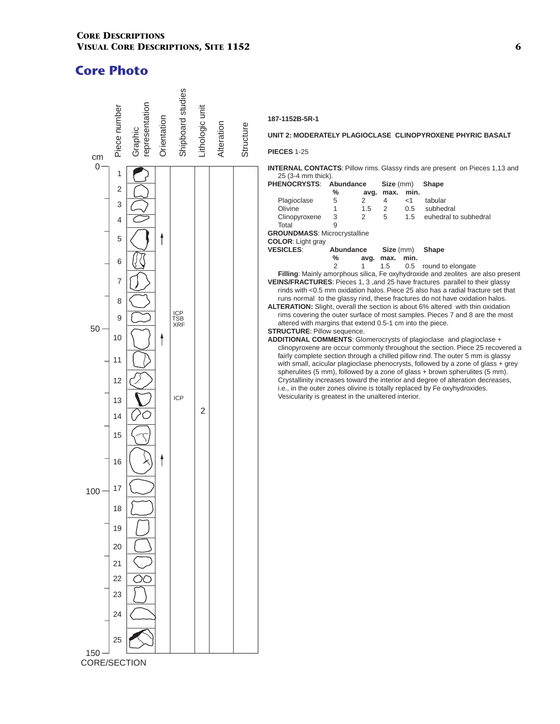

#### **187-1152B-5R-1**

### **UNIT 2: MODERATELY PLAGIOCLASE CLINOPYROXENE PHYRIC BASALT**

**PIECES** 1-25

#### **INTERNAL CONTACTS**: Pillow rims. Glassy rinds are present on Pieces 1,13 and 25 (3-4 mm thick).

| <b>PHENOCRYSTS:</b><br>Abundance<br>Size (mm)<br>Shape                              |  |
|-------------------------------------------------------------------------------------|--|
| min.<br>%<br>max.<br>avg.                                                           |  |
| Plagioclase<br>5<br>tabular<br>2<br>$<$ 1<br>4                                      |  |
| Olivine<br>1<br>2<br>subhedral<br>1.5<br>0.5                                        |  |
| 3<br>5<br>2<br>1.5<br>euhedral to subhedral<br>Clinopyroxene                        |  |
| 9<br>Total                                                                          |  |
| <b>GROUNDMASS: Microcrystalline</b>                                                 |  |
| <b>COLOR:</b> Light gray                                                            |  |
| <b>VESICLES:</b><br>Abundance<br>Size (mm)<br><b>Shape</b>                          |  |
| %<br>min.<br>avg.<br>max.                                                           |  |
| 2<br>1<br>1.5<br>0.5<br>round to elongate                                           |  |
| Filling: Mainly amorphous silica, Fe oxyhydroxide and zeolites are also present     |  |
| <b>VEINS/FRACTURES:</b> Pieces 1, 3, and 25 have fractures parallel to their glassy |  |
| rinds with <0.5 mm oxidation halos. Piece 25 also has a radial fracture set that    |  |
| runs normal to the glassy rind, these fractures do not have oxidation halos.        |  |
| ALTERATION: Slight, overall the section is about 6% altered with thin oxidation     |  |
| rims covering the outer surface of most samples. Pieces 7 and 8 are the most        |  |
| altered with margins that extend 0.5-1 cm into the piece.                           |  |
| <b>STRUCTURE: Pillow sequence.</b>                                                  |  |
| ADDITIONAL COMMENTS: Glomerocrysts of plagioclase and plagioclase +                 |  |
| clinopyroxene are occur commonly throughout the section. Piece 25 recovered a       |  |
| fairly complete section through a chilled pillow rind. The outer 5 mm is glassy     |  |
| with small, acicular plagioclase phenocrysts, followed by a zone of glass + grey    |  |
| spherulites (5 mm), followed by a zone of glass + brown spherulites (5 mm).         |  |
| Crystallinity increases toward the interior and degree of alteration decreases,     |  |
| i.e., in the outer zones olivine is totally replaced by Fe oxyhydroxides.           |  |
| Vesicularity is greatest in the unaltered interior.                                 |  |
|                                                                                     |  |
|                                                                                     |  |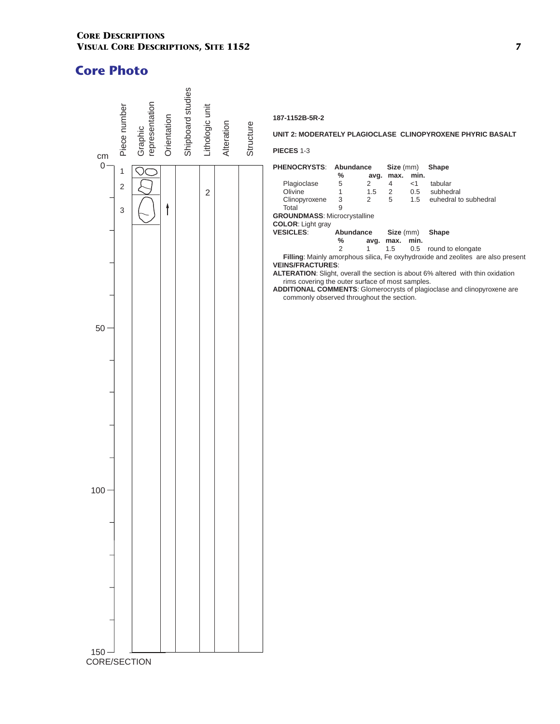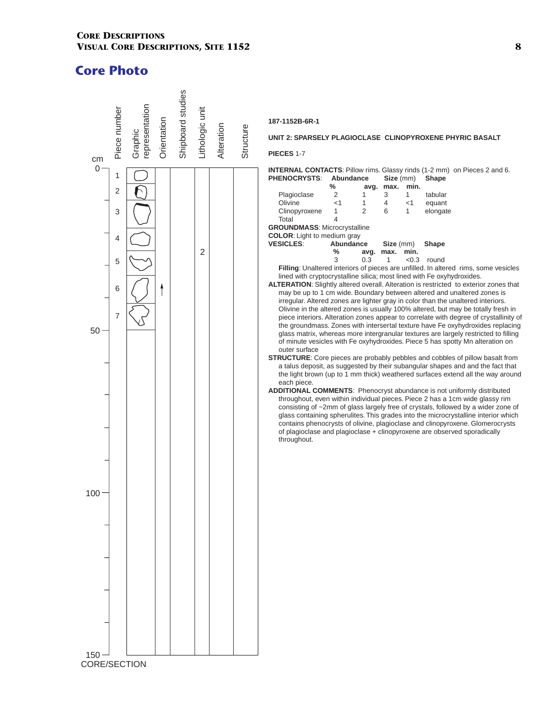

#### **187-1152B-6R-1**

#### **UNIT 2: SPARSELY PLAGIOCLASE CLINOPYROXENE PHYRIC BASALT**

**PIECES** 1-7

**INTERNAL CONTACTS**: Pillow rims. Glassy rinds (1-2 mm) on Pieces 2 and 6. **PHENOCRYSTS**: **Abundance Size** (mm) **Shape** 

|                                     | ℅         |                | avg. max. | min.  |                                                                                                                                                                               |
|-------------------------------------|-----------|----------------|-----------|-------|-------------------------------------------------------------------------------------------------------------------------------------------------------------------------------|
| Plagioclase                         | 2         | 1              | 3         | 1     | tabular                                                                                                                                                                       |
| Olivine                             | $<$ 1     | 1              | 4         | $<$ 1 | equant                                                                                                                                                                        |
| Clinopyroxene                       | 1         | $\overline{2}$ | 6         | 1     | elongate                                                                                                                                                                      |
| Total                               | 4         |                |           |       |                                                                                                                                                                               |
| <b>GROUNDMASS: Microcrystalline</b> |           |                |           |       |                                                                                                                                                                               |
| <b>COLOR:</b> Light to medium gray  |           |                |           |       |                                                                                                                                                                               |
| <b>VESICLES:</b>                    | Abundance |                | Size (mm) |       | Shape                                                                                                                                                                         |
|                                     | %         | avg.           | max.      | min.  |                                                                                                                                                                               |
|                                     | 3         | 0.3            | 1         | < 0.3 | round                                                                                                                                                                         |
|                                     |           |                |           |       | Filling: Unaltered interiors of pieces are unfilled. In altered rims, some vesicles                                                                                           |
|                                     |           |                |           |       | lined with cryptocrystalline silica; most lined with Fe oxyhydroxides.                                                                                                        |
|                                     |           |                |           |       | ALTERATION: Slightly altered overall. Alteration is restricted to exterior zones that                                                                                         |
|                                     |           |                |           |       | may be up to 1 cm wide. Boundary between altered and unaltered zones is                                                                                                       |
|                                     |           |                |           |       | irregular. Altered zones are lighter gray in color than the unaltered interiors.                                                                                              |
|                                     |           |                |           |       | Olivine in the altered zones is usually 100% altered, but may be totally fresh in                                                                                             |
|                                     |           |                |           |       | piece interiors. Alteration zones appear to correlate with degree of crystallinity of                                                                                         |
|                                     |           |                |           |       | the groundmass. Zones with intersertal texture have Fe oxyhydroxides replacing                                                                                                |
|                                     |           |                |           |       | glass matrix, whereas more intergranular textures are largely restricted to filling                                                                                           |
|                                     |           |                |           |       | of minute vesicles with Fe oxyhydroxides. Piece 5 has spotty Mn alteration on                                                                                                 |
| outer surface                       |           |                |           |       |                                                                                                                                                                               |
|                                     |           |                |           |       | <b>STRUCTURE:</b> Core pieces are probably pebbles and cobbles of pillow basalt from                                                                                          |
|                                     |           |                |           |       | a talus deposit, as suggested by their subangular shapes and and the fact that                                                                                                |
|                                     |           |                |           |       | the light brown (up to 1 mm thick) weathered surfaces extend all the way around                                                                                               |
| each piece.                         |           |                |           |       |                                                                                                                                                                               |
|                                     |           |                |           |       | <b>ADDITIONAL COMMENTS:</b> Phenocryst abundance is not uniformly distributed                                                                                                 |
|                                     |           |                |           |       | throughout, even within individual pieces. Piece 2 has a 1cm wide glassy rim                                                                                                  |
|                                     |           |                |           |       | consisting of $\sim$ 2mm of glass largely free of crystals, followed by a wider zone of<br>glass containing spherulites. This grades into the microcrystalline interior which |
|                                     |           |                |           |       | contains phenocrysts of olivine, plagioclase and clinopyroxene. Glomerocrysts                                                                                                 |
|                                     |           |                |           |       | of plagioclase and plagioclase + clinopyroxene are observed sporadically                                                                                                      |
| throughout.                         |           |                |           |       |                                                                                                                                                                               |
|                                     |           |                |           |       |                                                                                                                                                                               |
|                                     |           |                |           |       |                                                                                                                                                                               |
|                                     |           |                |           |       |                                                                                                                                                                               |
|                                     |           |                |           |       |                                                                                                                                                                               |
|                                     |           |                |           |       |                                                                                                                                                                               |
|                                     |           |                |           |       |                                                                                                                                                                               |
|                                     |           |                |           |       |                                                                                                                                                                               |
|                                     |           |                |           |       |                                                                                                                                                                               |
|                                     |           |                |           |       |                                                                                                                                                                               |
|                                     |           |                |           |       |                                                                                                                                                                               |
|                                     |           |                |           |       |                                                                                                                                                                               |
|                                     |           |                |           |       |                                                                                                                                                                               |
|                                     |           |                |           |       |                                                                                                                                                                               |
|                                     |           |                |           |       |                                                                                                                                                                               |
|                                     |           |                |           |       |                                                                                                                                                                               |
|                                     |           |                |           |       |                                                                                                                                                                               |
|                                     |           |                |           |       |                                                                                                                                                                               |
|                                     |           |                |           |       |                                                                                                                                                                               |
|                                     |           |                |           |       |                                                                                                                                                                               |
|                                     |           |                |           |       |                                                                                                                                                                               |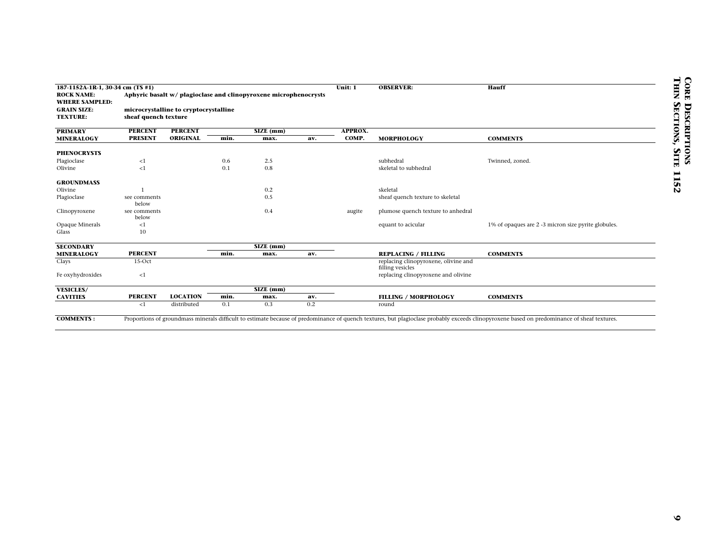| 187-1152A-1R-1, 30-34 cm (TS #1)           |                       |                                       |      |                                                                  |     | Unit: 1 | <b>OBSERVER:</b>                                         | Hauff                                                                                                                                                                                        |  |
|--------------------------------------------|-----------------------|---------------------------------------|------|------------------------------------------------------------------|-----|---------|----------------------------------------------------------|----------------------------------------------------------------------------------------------------------------------------------------------------------------------------------------------|--|
| <b>ROCK NAME:</b><br><b>WHERE SAMPLED:</b> |                       |                                       |      | Aphyric basalt w/ plagioclase and clinopyroxene microphenocrysts |     |         |                                                          |                                                                                                                                                                                              |  |
| <b>GRAIN SIZE:</b>                         |                       | microcrystalline to cryptocrystalline |      |                                                                  |     |         |                                                          |                                                                                                                                                                                              |  |
| <b>TEXTURE:</b>                            | sheaf quench texture  |                                       |      |                                                                  |     |         |                                                          |                                                                                                                                                                                              |  |
| <b>PRIMARY</b>                             | <b>PERCENT</b>        | <b>PERCENT</b>                        |      | SIZE (mm)                                                        |     | APPROX. |                                                          |                                                                                                                                                                                              |  |
| <b>MINERALOGY</b>                          | <b>PRESENT</b>        | <b>ORIGINAL</b>                       | min. | max.                                                             | av. | COMP.   | <b>MORPHOLOGY</b>                                        | <b>COMMENTS</b>                                                                                                                                                                              |  |
| <b>PHENOCRYSTS</b>                         |                       |                                       |      |                                                                  |     |         |                                                          |                                                                                                                                                                                              |  |
| Plagioclase                                | <1                    |                                       | 0.6  | 2.5                                                              |     |         | subhedral                                                | Twinned, zoned.                                                                                                                                                                              |  |
| Olivine                                    | ${<}1$                |                                       | 0.1  | 0.8                                                              |     |         | skeletal to subhedral                                    |                                                                                                                                                                                              |  |
| <b>GROUNDMASS</b>                          |                       |                                       |      |                                                                  |     |         |                                                          |                                                                                                                                                                                              |  |
| Olivine                                    |                       |                                       |      | 0.2                                                              |     |         | skeletal                                                 |                                                                                                                                                                                              |  |
| Plagioclase                                | see comments<br>below |                                       |      | 0.5                                                              |     |         | sheaf quench texture to skeletal                         |                                                                                                                                                                                              |  |
| Clinopyroxene                              | see comments<br>below |                                       |      | 0.4                                                              |     | augite  | plumose quench texture to anhedral                       |                                                                                                                                                                                              |  |
| Opaque Minerals                            | <1                    |                                       |      |                                                                  |     |         | equant to acicular                                       | 1% of opaques are 2 -3 micron size pyrite globules.                                                                                                                                          |  |
| Glass                                      | 10                    |                                       |      |                                                                  |     |         |                                                          |                                                                                                                                                                                              |  |
| <b>SECONDARY</b>                           |                       |                                       |      | SIZE (mm)                                                        |     |         |                                                          |                                                                                                                                                                                              |  |
| <b>MINERALOGY</b>                          | <b>PERCENT</b>        |                                       | min. | max.                                                             | av. |         | <b>REPLACING / FILLING</b>                               | <b>COMMENTS</b>                                                                                                                                                                              |  |
| Clays                                      | 15-Oct                |                                       |      |                                                                  |     |         | replacing clinopyroxene, olivine and<br>filling vesicles |                                                                                                                                                                                              |  |
| Fe oxyhydroxides                           | <1                    |                                       |      |                                                                  |     |         | replacing clinopyroxene and olivine                      |                                                                                                                                                                                              |  |
| <b>VESICLES/</b>                           |                       |                                       |      | SIZE (mm)                                                        |     |         |                                                          |                                                                                                                                                                                              |  |
| <b>CAVITIES</b>                            | <b>PERCENT</b>        | <b>LOCATION</b>                       | min. | max.                                                             | av. |         | <b>FILLING / MORPHOLOGY</b>                              | <b>COMMENTS</b>                                                                                                                                                                              |  |
|                                            | ${<}1$                | distributed                           | 0.1  | 0.3                                                              | 0.2 |         | round                                                    |                                                                                                                                                                                              |  |
| <b>COMMENTS:</b>                           |                       |                                       |      |                                                                  |     |         |                                                          | Proportions of groundmass minerals difficult to estimate because of predominance of quench textures, but plagioclase probably exceeds clinopyroxene based on predominance of sheaf textures. |  |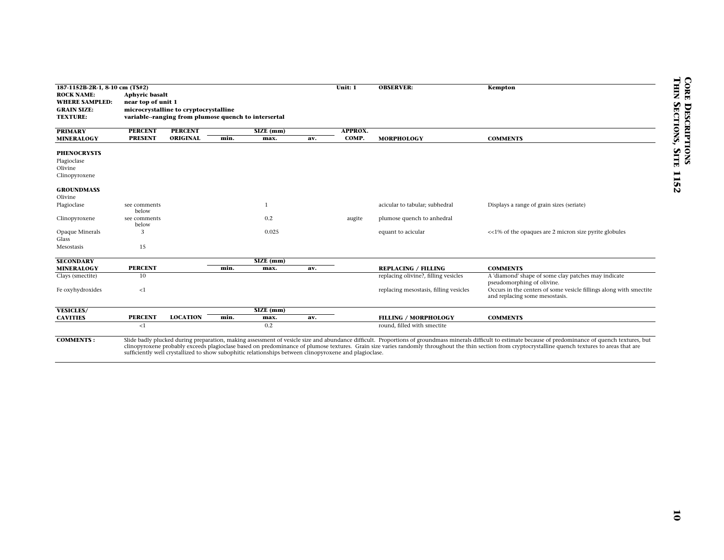| <b>ROCK NAME:</b><br><b>WHERE SAMPLED:</b><br><b>GRAIN SIZE:</b><br><b>TEXTURE:</b> | <b>Aphyric basalt</b><br>near top of unit 1 |                                                      |      |                                                                                                        |     | Unit: 1 | <b>OBSERVER:</b>                                                   | Kempton                                                                                                                                                                                                                                                                                                                                                                                                              |
|-------------------------------------------------------------------------------------|---------------------------------------------|------------------------------------------------------|------|--------------------------------------------------------------------------------------------------------|-----|---------|--------------------------------------------------------------------|----------------------------------------------------------------------------------------------------------------------------------------------------------------------------------------------------------------------------------------------------------------------------------------------------------------------------------------------------------------------------------------------------------------------|
|                                                                                     |                                             |                                                      |      |                                                                                                        |     |         |                                                                    |                                                                                                                                                                                                                                                                                                                                                                                                                      |
|                                                                                     |                                             |                                                      |      |                                                                                                        |     |         |                                                                    |                                                                                                                                                                                                                                                                                                                                                                                                                      |
|                                                                                     |                                             | microcrystalline to cryptocrystalline                |      |                                                                                                        |     |         |                                                                    |                                                                                                                                                                                                                                                                                                                                                                                                                      |
|                                                                                     |                                             | variable--ranging from plumose quench to intersertal |      |                                                                                                        |     |         |                                                                    |                                                                                                                                                                                                                                                                                                                                                                                                                      |
| <b>PRIMARY</b>                                                                      | <b>PERCENT</b>                              | <b>PERCENT</b>                                       |      | SIZE (mm)                                                                                              |     | APPROX. |                                                                    |                                                                                                                                                                                                                                                                                                                                                                                                                      |
| <b>MINERALOGY</b>                                                                   | <b>PRESENT</b>                              | ORIGINAL                                             | min. | max.                                                                                                   | av. | COMP.   | MORPHOLOGY                                                         | <b>COMMENTS</b>                                                                                                                                                                                                                                                                                                                                                                                                      |
|                                                                                     |                                             |                                                      |      |                                                                                                        |     |         |                                                                    |                                                                                                                                                                                                                                                                                                                                                                                                                      |
| <b>PHENOCRYSTS</b>                                                                  |                                             |                                                      |      |                                                                                                        |     |         |                                                                    |                                                                                                                                                                                                                                                                                                                                                                                                                      |
| Plagioclase                                                                         |                                             |                                                      |      |                                                                                                        |     |         |                                                                    |                                                                                                                                                                                                                                                                                                                                                                                                                      |
| Olivine                                                                             |                                             |                                                      |      |                                                                                                        |     |         |                                                                    |                                                                                                                                                                                                                                                                                                                                                                                                                      |
| Clinopyroxene                                                                       |                                             |                                                      |      |                                                                                                        |     |         |                                                                    |                                                                                                                                                                                                                                                                                                                                                                                                                      |
|                                                                                     |                                             |                                                      |      |                                                                                                        |     |         |                                                                    |                                                                                                                                                                                                                                                                                                                                                                                                                      |
| <b>GROUNDMASS</b><br>Olivine                                                        |                                             |                                                      |      |                                                                                                        |     |         |                                                                    |                                                                                                                                                                                                                                                                                                                                                                                                                      |
| Plagioclase                                                                         | see comments                                |                                                      |      | $\mathbf{1}$                                                                                           |     |         | acicular to tabular; subhedral                                     | Displays a range of grain sizes (seriate)                                                                                                                                                                                                                                                                                                                                                                            |
|                                                                                     | below                                       |                                                      |      |                                                                                                        |     |         |                                                                    |                                                                                                                                                                                                                                                                                                                                                                                                                      |
| Clinopyroxene                                                                       | see comments                                |                                                      |      | 0.2                                                                                                    |     | augite  | plumose quench to anhedral                                         |                                                                                                                                                                                                                                                                                                                                                                                                                      |
|                                                                                     | below                                       |                                                      |      | 0.025                                                                                                  |     |         |                                                                    |                                                                                                                                                                                                                                                                                                                                                                                                                      |
| Opaque Minerals<br>Glass                                                            | 3                                           |                                                      |      |                                                                                                        |     |         | equant to acicular                                                 | <<1% of the opaques are 2 micron size pyrite globules                                                                                                                                                                                                                                                                                                                                                                |
| Mesostasis                                                                          | 15                                          |                                                      |      |                                                                                                        |     |         |                                                                    |                                                                                                                                                                                                                                                                                                                                                                                                                      |
|                                                                                     |                                             |                                                      |      |                                                                                                        |     |         |                                                                    |                                                                                                                                                                                                                                                                                                                                                                                                                      |
| <b>SECONDARY</b>                                                                    |                                             |                                                      |      | SIZE (mm)                                                                                              |     |         |                                                                    |                                                                                                                                                                                                                                                                                                                                                                                                                      |
| <b>MINERALOGY</b><br>Clays (smectite)                                               | <b>PERCENT</b><br>10                        |                                                      | min. | max.                                                                                                   | av. |         | <b>REPLACING / FILLING</b><br>replacing olivine?, filling vesicles | <b>COMMENTS</b><br>A 'diamond' shape of some clay patches may indicate                                                                                                                                                                                                                                                                                                                                               |
|                                                                                     |                                             |                                                      |      |                                                                                                        |     |         |                                                                    | pseudomorphing of olivine.                                                                                                                                                                                                                                                                                                                                                                                           |
| Fe oxyhydroxides                                                                    | ${<}1$                                      |                                                      |      |                                                                                                        |     |         | replacing mesostasis, filling vesicles                             | Occurs in the centers of some vesicle fillings along with smectite                                                                                                                                                                                                                                                                                                                                                   |
|                                                                                     |                                             |                                                      |      |                                                                                                        |     |         |                                                                    | and replacing some mesostasis.                                                                                                                                                                                                                                                                                                                                                                                       |
| <b>VESICLES/</b>                                                                    |                                             |                                                      |      | $\overline{\text{SIZE (mm)}}$                                                                          |     |         |                                                                    |                                                                                                                                                                                                                                                                                                                                                                                                                      |
| <b>CAVITIES</b>                                                                     | <b>PERCENT</b>                              | <b>LOCATION</b>                                      | min. | max.                                                                                                   | av. |         | <b>FILLING / MORPHOLOGY</b>                                        | <b>COMMENTS</b>                                                                                                                                                                                                                                                                                                                                                                                                      |
|                                                                                     | ${<}1$                                      |                                                      |      | 0.2                                                                                                    |     |         | round, filled with smectite                                        |                                                                                                                                                                                                                                                                                                                                                                                                                      |
| <b>COMMENTS:</b>                                                                    |                                             |                                                      |      | sufficiently well crystallized to show subophitic relationships between clinopyroxene and plagioclase. |     |         |                                                                    | Slide badly plucked during preparation, making assessment of vesicle size and abundance difficult. Proportions of groundmass minerals difficult to estimate because of predominance of quench textures, but<br>clinopyroxene probably exceeds plagioclase based on predominance of plumose textures. Grain size varies randomly throughout the thin section from cryptocrystalline quench textures to areas that are |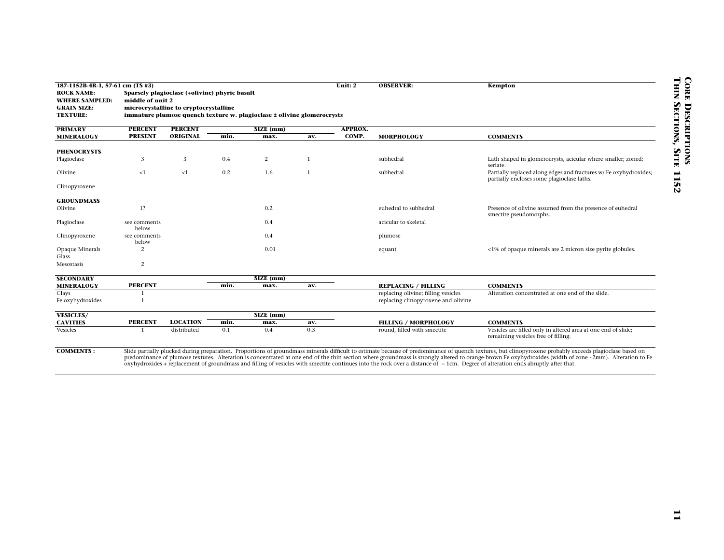| 187-1152B-4R-1, 57-61 cm (TS #3)<br><b>ROCK NAME:</b><br><b>WHERE SAMPLED:</b><br><b>GRAIN SIZE:</b> |                                | Sparsely plagioclase (+olivine) phyric basalt<br>middle of unit 2<br>microcrystalline to cryptocrystalline<br>immature plumose quench texture w. plagioclase ± olivine glomerocrysts |             |                |              |                | Unit: 2                                                                                                                                                                          |                                                                                                                                                                                                                                                                                                                                                                                                                      |  |  |  | <b>OBSERVER:</b> | Kempton |  |  |
|------------------------------------------------------------------------------------------------------|--------------------------------|--------------------------------------------------------------------------------------------------------------------------------------------------------------------------------------|-------------|----------------|--------------|----------------|----------------------------------------------------------------------------------------------------------------------------------------------------------------------------------|----------------------------------------------------------------------------------------------------------------------------------------------------------------------------------------------------------------------------------------------------------------------------------------------------------------------------------------------------------------------------------------------------------------------|--|--|--|------------------|---------|--|--|
| <b>TEXTURE:</b>                                                                                      |                                |                                                                                                                                                                                      |             |                |              |                |                                                                                                                                                                                  |                                                                                                                                                                                                                                                                                                                                                                                                                      |  |  |  |                  |         |  |  |
| <b>PRIMARY</b>                                                                                       | <b>PERCENT</b>                 | <b>PERCENT</b>                                                                                                                                                                       |             | SIZE (mm)      |              | <b>APPROX.</b> |                                                                                                                                                                                  |                                                                                                                                                                                                                                                                                                                                                                                                                      |  |  |  |                  |         |  |  |
| <b>MINERALOGY</b>                                                                                    | <b>PRESENT</b>                 | ORIGINAL                                                                                                                                                                             | min.        | max.           | av.          | COMP.          | <b>MORPHOLOGY</b>                                                                                                                                                                | <b>COMMENTS</b>                                                                                                                                                                                                                                                                                                                                                                                                      |  |  |  |                  |         |  |  |
| <b>PHENOCRYSTS</b>                                                                                   |                                |                                                                                                                                                                                      |             |                |              |                |                                                                                                                                                                                  |                                                                                                                                                                                                                                                                                                                                                                                                                      |  |  |  |                  |         |  |  |
| Plagioclase                                                                                          | 3                              | 3                                                                                                                                                                                    | 0.4         | $\overline{c}$ | $\mathbf{1}$ |                | subhedral                                                                                                                                                                        | Lath shaped in glomerocrysts, acicular where smaller; zoned;                                                                                                                                                                                                                                                                                                                                                         |  |  |  |                  |         |  |  |
|                                                                                                      |                                |                                                                                                                                                                                      |             |                |              |                |                                                                                                                                                                                  | seriate.                                                                                                                                                                                                                                                                                                                                                                                                             |  |  |  |                  |         |  |  |
| Olivine                                                                                              | <1                             | <1                                                                                                                                                                                   | 0.2         | 1.6            | $\mathbf{1}$ |                | subhedral                                                                                                                                                                        | Partially replaced along edges and fractures w/ Fe oxyhydroxides;                                                                                                                                                                                                                                                                                                                                                    |  |  |  |                  |         |  |  |
| Clinopyroxene                                                                                        |                                |                                                                                                                                                                                      |             |                |              |                |                                                                                                                                                                                  | partially encloses some plagioclase laths.                                                                                                                                                                                                                                                                                                                                                                           |  |  |  |                  |         |  |  |
|                                                                                                      |                                |                                                                                                                                                                                      |             |                |              |                |                                                                                                                                                                                  |                                                                                                                                                                                                                                                                                                                                                                                                                      |  |  |  |                  |         |  |  |
| <b>GROUNDMASS</b>                                                                                    |                                |                                                                                                                                                                                      |             |                |              |                |                                                                                                                                                                                  |                                                                                                                                                                                                                                                                                                                                                                                                                      |  |  |  |                  |         |  |  |
| Olivine                                                                                              | 1?                             |                                                                                                                                                                                      |             | 0.2            |              |                | euhedral to subhedral                                                                                                                                                            | Presence of olivine assumed from the presence of euhedral                                                                                                                                                                                                                                                                                                                                                            |  |  |  |                  |         |  |  |
| Plagioclase                                                                                          | see comments                   |                                                                                                                                                                                      |             | 0.4            |              |                | acicular to skeletal                                                                                                                                                             | smectite pseudomorphs.                                                                                                                                                                                                                                                                                                                                                                                               |  |  |  |                  |         |  |  |
|                                                                                                      | below                          |                                                                                                                                                                                      |             |                |              |                |                                                                                                                                                                                  |                                                                                                                                                                                                                                                                                                                                                                                                                      |  |  |  |                  |         |  |  |
| Clinopyroxene                                                                                        | see comments                   |                                                                                                                                                                                      |             | 0.4            |              |                | plumose                                                                                                                                                                          |                                                                                                                                                                                                                                                                                                                                                                                                                      |  |  |  |                  |         |  |  |
|                                                                                                      | below<br>2                     |                                                                                                                                                                                      |             | 0.01           |              |                |                                                                                                                                                                                  |                                                                                                                                                                                                                                                                                                                                                                                                                      |  |  |  |                  |         |  |  |
| Opaque Minerals<br>Glass                                                                             |                                |                                                                                                                                                                                      |             |                |              |                | equant                                                                                                                                                                           | <1% of opaque minerals are 2 micron size pyrite globules.                                                                                                                                                                                                                                                                                                                                                            |  |  |  |                  |         |  |  |
| Mesostasis                                                                                           | $\overline{c}$                 |                                                                                                                                                                                      |             |                |              |                |                                                                                                                                                                                  |                                                                                                                                                                                                                                                                                                                                                                                                                      |  |  |  |                  |         |  |  |
|                                                                                                      |                                |                                                                                                                                                                                      |             |                |              |                |                                                                                                                                                                                  |                                                                                                                                                                                                                                                                                                                                                                                                                      |  |  |  |                  |         |  |  |
| <b>SECONDARY</b>                                                                                     |                                |                                                                                                                                                                                      |             | $SIZE$ (mm)    |              |                |                                                                                                                                                                                  |                                                                                                                                                                                                                                                                                                                                                                                                                      |  |  |  |                  |         |  |  |
| <b>MINERALOGY</b><br>Clays                                                                           | <b>PERCENT</b><br>$\mathbf{1}$ |                                                                                                                                                                                      | min.        | max.           | av.          |                | <b>REPLACING / FILLING</b><br>replacing olivine; filling vesicles                                                                                                                | <b>COMMENTS</b><br>Alteration concentrated at one end of the slide.                                                                                                                                                                                                                                                                                                                                                  |  |  |  |                  |         |  |  |
| Fe oxyhydroxides                                                                                     | $\mathbf{1}$                   |                                                                                                                                                                                      |             |                |              |                | replacing clinopyroxene and olivine                                                                                                                                              |                                                                                                                                                                                                                                                                                                                                                                                                                      |  |  |  |                  |         |  |  |
|                                                                                                      |                                |                                                                                                                                                                                      |             |                |              |                |                                                                                                                                                                                  |                                                                                                                                                                                                                                                                                                                                                                                                                      |  |  |  |                  |         |  |  |
| <b>VESICLES/</b>                                                                                     |                                |                                                                                                                                                                                      |             | $SIZE$ (mm)    |              |                |                                                                                                                                                                                  |                                                                                                                                                                                                                                                                                                                                                                                                                      |  |  |  |                  |         |  |  |
| <b>CAVITIES</b><br>Vesicles                                                                          | <b>PERCENT</b><br>$\mathbf{1}$ | <b>LOCATION</b><br>distributed                                                                                                                                                       | min.<br>0.1 | max.<br>0.4    | av.<br>0.3   |                | <b>FILLING / MORPHOLOGY</b><br>round, filled with smectite                                                                                                                       | <b>COMMENTS</b><br>Vesicles are filled only in altered area at one end of slide;                                                                                                                                                                                                                                                                                                                                     |  |  |  |                  |         |  |  |
|                                                                                                      |                                |                                                                                                                                                                                      |             |                |              |                |                                                                                                                                                                                  | remaining vesicles free of filling.                                                                                                                                                                                                                                                                                                                                                                                  |  |  |  |                  |         |  |  |
| <b>COMMENTS:</b>                                                                                     |                                |                                                                                                                                                                                      |             |                |              |                | oxyhydroxides + replacement of groundmass and filling of vesicles with smectite continues into the rock over a distance of ~ 1cm. Degree of alteration ends abruptly after that. | Slide partially plucked during preparation. Proportions of groundmass minerals difficult to estimate because of predominance of quench textures, but clinopyroxene probably exceeds plagioclase based on<br>predominance of plumose textures. Alteration is concentrated at one end of the thin section where groundmass is strongly altered to orange-brown Fe oxyhydroxides (width of zone ~2mm). Alteration to Fe |  |  |  |                  |         |  |  |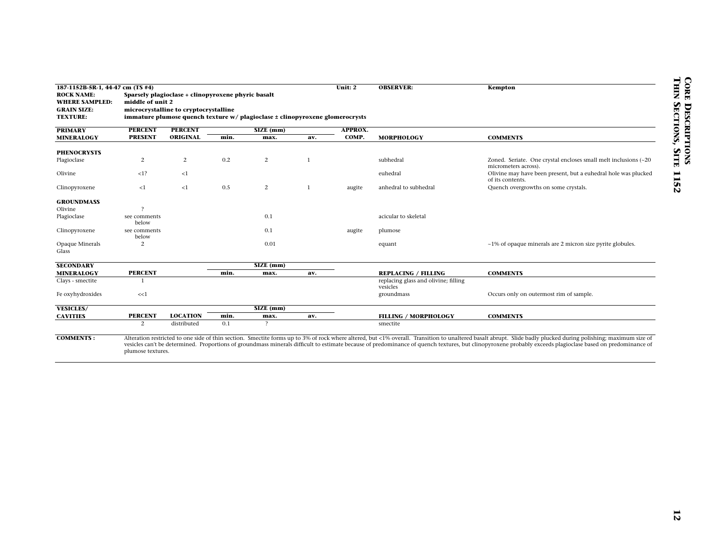| <b>ROCK NAME:</b><br><b>WHERE SAMPLED:</b><br><b>GRAIN SIZE:</b> | 187-1152B-5R-1, 44-47 cm (TS #4) |                                                                                             |      |                                                                              |              | Unit: 2        | <b>OBSERVER:</b>                                                   | Kempton                                                                                                                                                                                                                                                                                                                                                                                                                       |
|------------------------------------------------------------------|----------------------------------|---------------------------------------------------------------------------------------------|------|------------------------------------------------------------------------------|--------------|----------------|--------------------------------------------------------------------|-------------------------------------------------------------------------------------------------------------------------------------------------------------------------------------------------------------------------------------------------------------------------------------------------------------------------------------------------------------------------------------------------------------------------------|
|                                                                  | middle of unit 2                 | Sparsely plagioclase + clinopyroxene phyric basalt<br>microcrystalline to cryptocrystalline |      |                                                                              |              |                |                                                                    |                                                                                                                                                                                                                                                                                                                                                                                                                               |
| <b>TEXTURE:</b>                                                  |                                  |                                                                                             |      | immature plumose quench texture w/ plagioclase ± clinopyroxene glomerocrysts |              |                |                                                                    |                                                                                                                                                                                                                                                                                                                                                                                                                               |
| <b>PRIMARY</b>                                                   | <b>PERCENT</b>                   | <b>PERCENT</b>                                                                              |      | SIZE (mm)                                                                    |              | <b>APPROX.</b> |                                                                    |                                                                                                                                                                                                                                                                                                                                                                                                                               |
| <b>MINERALOGY</b>                                                | <b>PRESENT</b>                   | ORIGINAL                                                                                    | min. | max.                                                                         | av.          | COMP.          | <b>MORPHOLOGY</b>                                                  | <b>COMMENTS</b>                                                                                                                                                                                                                                                                                                                                                                                                               |
|                                                                  |                                  |                                                                                             |      |                                                                              |              |                |                                                                    |                                                                                                                                                                                                                                                                                                                                                                                                                               |
| <b>PHENOCRYSTS</b><br>Plagioclase                                | 2                                | 2                                                                                           | 0.2  | $\overline{c}$                                                               | $\mathbf{1}$ |                | subhedral                                                          | Zoned. Seriate. One crystal encloses small melt inclusions (~20                                                                                                                                                                                                                                                                                                                                                               |
|                                                                  |                                  |                                                                                             |      |                                                                              |              |                |                                                                    | micrometers across).                                                                                                                                                                                                                                                                                                                                                                                                          |
| Olivine                                                          | <1?                              | ${<}1$                                                                                      |      |                                                                              |              |                | euhedral                                                           | Olivine may have been present, but a euhedral hole was plucked<br>of its contents.                                                                                                                                                                                                                                                                                                                                            |
| Clinopyroxene                                                    | ${<}1$                           | ${<}1$                                                                                      | 0.5  | $\overline{c}$                                                               | $\mathbf{1}$ | augite         | anhedral to subhedral                                              | Quench overgrowths on some crystals.                                                                                                                                                                                                                                                                                                                                                                                          |
| <b>GROUNDMASS</b>                                                |                                  |                                                                                             |      |                                                                              |              |                |                                                                    |                                                                                                                                                                                                                                                                                                                                                                                                                               |
| Olivine                                                          | $\overline{?}$                   |                                                                                             |      |                                                                              |              |                |                                                                    |                                                                                                                                                                                                                                                                                                                                                                                                                               |
| Plagioclase                                                      | see comments                     |                                                                                             |      | 0.1                                                                          |              |                | acicular to skeletal                                               |                                                                                                                                                                                                                                                                                                                                                                                                                               |
|                                                                  | below                            |                                                                                             |      |                                                                              |              |                |                                                                    |                                                                                                                                                                                                                                                                                                                                                                                                                               |
| Clinopyroxene                                                    | see comments<br>below            |                                                                                             |      | 0.1                                                                          |              | augite         | plumose                                                            |                                                                                                                                                                                                                                                                                                                                                                                                                               |
| Opaque Minerals                                                  | 2                                |                                                                                             |      | 0.01                                                                         |              |                | equant                                                             | ~1% of opaque minerals are 2 micron size pyrite globules.                                                                                                                                                                                                                                                                                                                                                                     |
| Glass                                                            |                                  |                                                                                             |      |                                                                              |              |                |                                                                    |                                                                                                                                                                                                                                                                                                                                                                                                                               |
|                                                                  |                                  |                                                                                             |      |                                                                              |              |                |                                                                    |                                                                                                                                                                                                                                                                                                                                                                                                                               |
| <b>SECONDARY</b>                                                 |                                  |                                                                                             |      | $SIZE$ (mm)                                                                  |              |                |                                                                    |                                                                                                                                                                                                                                                                                                                                                                                                                               |
| <b>MINERALOGY</b><br>Clays - smectite                            | <b>PERCENT</b><br>$\overline{1}$ |                                                                                             | min. | max.                                                                         | av.          |                | <b>REPLACING / FILLING</b><br>replacing glass and olivine; filling | <b>COMMENTS</b>                                                                                                                                                                                                                                                                                                                                                                                                               |
|                                                                  |                                  |                                                                                             |      |                                                                              |              |                | vesicles                                                           |                                                                                                                                                                                                                                                                                                                                                                                                                               |
| Fe oxyhydroxides                                                 | <<1                              |                                                                                             |      |                                                                              |              |                | groundmass                                                         | Occurs only on outermost rim of sample.                                                                                                                                                                                                                                                                                                                                                                                       |
|                                                                  |                                  |                                                                                             |      | $SIZE$ (mm)                                                                  |              |                |                                                                    |                                                                                                                                                                                                                                                                                                                                                                                                                               |
| <b>VESICLES/</b><br><b>CAVITIES</b>                              | <b>PERCENT</b>                   | <b>LOCATION</b>                                                                             | min. | max.                                                                         | av.          |                | <b>FILLING / MORPHOLOGY</b>                                        | <b>COMMENTS</b>                                                                                                                                                                                                                                                                                                                                                                                                               |
|                                                                  | 2                                | distributed                                                                                 | 0.1  | $\mathcal{P}$                                                                |              |                | smectite                                                           |                                                                                                                                                                                                                                                                                                                                                                                                                               |
|                                                                  |                                  |                                                                                             |      |                                                                              |              |                |                                                                    |                                                                                                                                                                                                                                                                                                                                                                                                                               |
| <b>COMMENTS:</b>                                                 | plumose textures.                |                                                                                             |      |                                                                              |              |                |                                                                    | Alteration restricted to one side of thin section. Smectite forms up to 3% of rock where altered, but <1% overall. Transition to unaltered basalt abrupt. Slide badly plucked during polishing; maximum size of<br>vesicles can't be determined. Proportions of groundmass minerals difficult to estimate because of predominance of quench textures, but clinopyroxene probably exceeds plagioclase based on predominance of |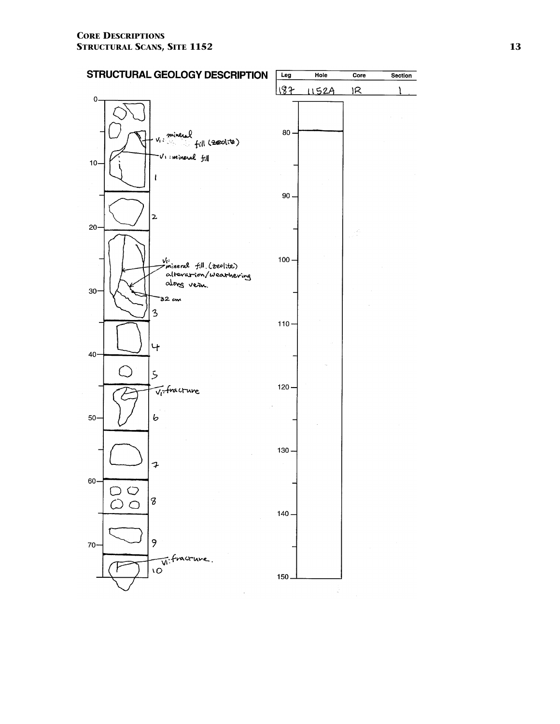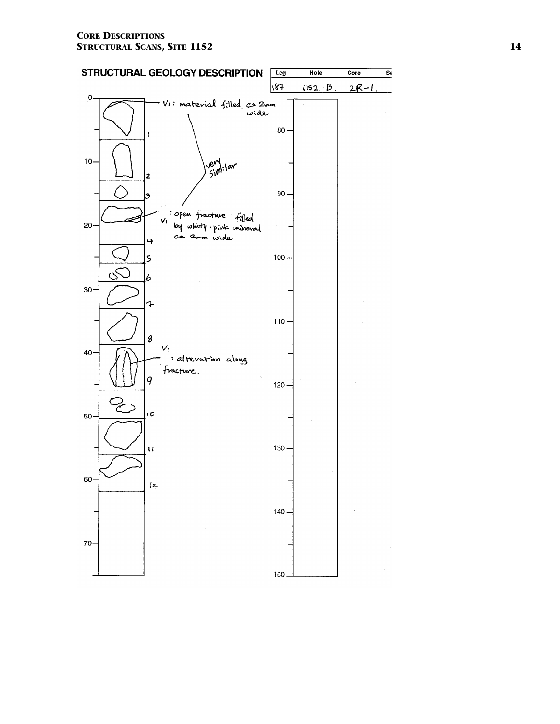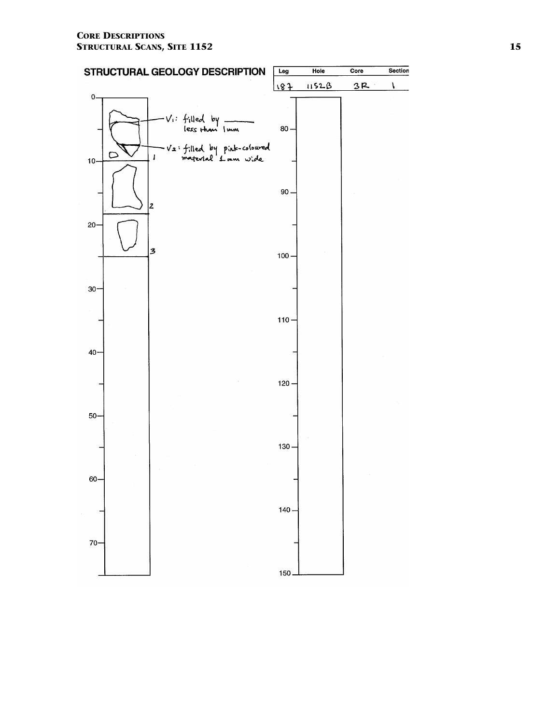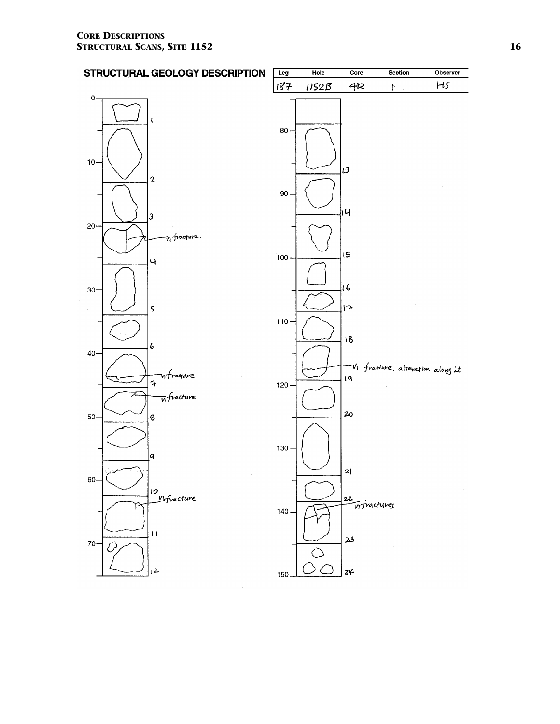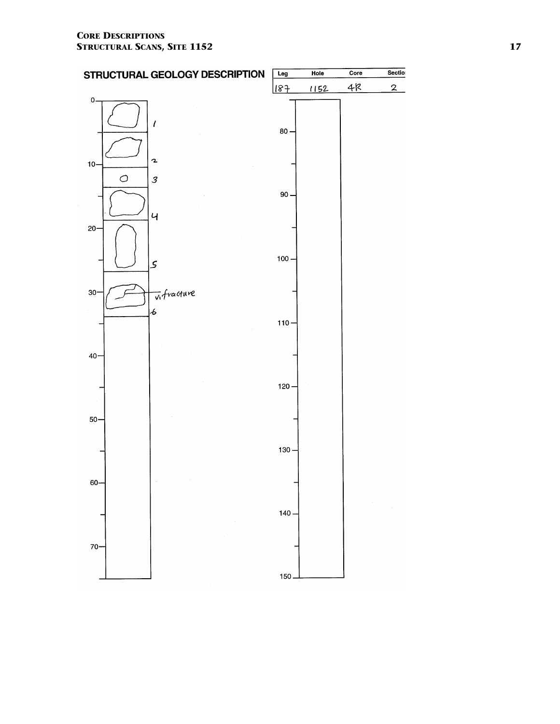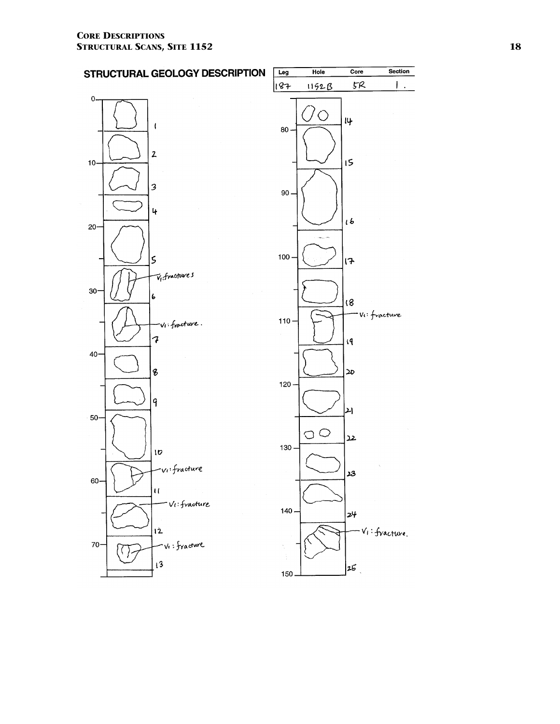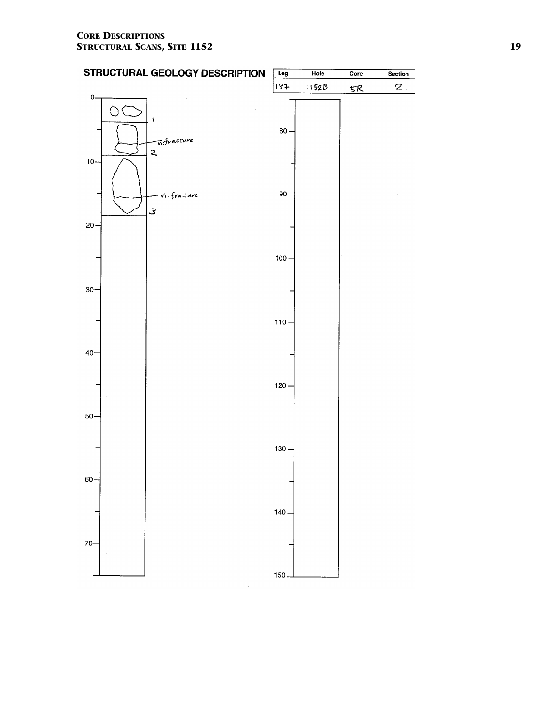